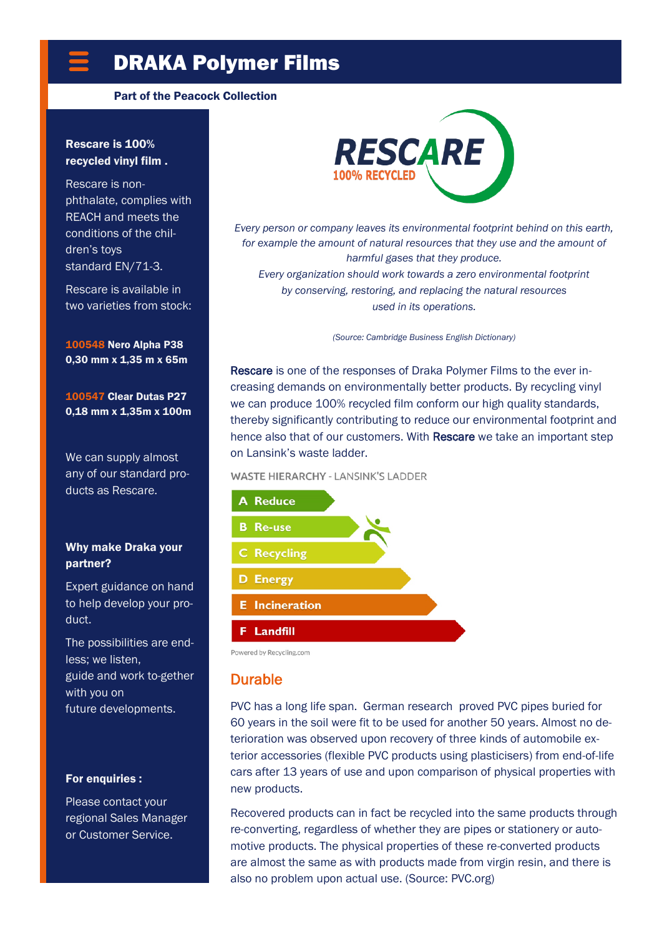# DRAKA Polymer Films

#### Part of the Peacock Collection

#### Rescare is 100% recycled vinyl film .

Rescare is nonphthalate, complies with REACH and meets the conditions of the children's toys standard EN/71-3.

Rescare is available in two varieties from stock:

100548 Nero Alpha P38 0,30 mm x 1,35 m x 65m

100547 Clear Dutas P27 0,18 mm x 1,35m x 100m

We can supply almost any of our standard products as Rescare.

#### Why make Draka your partner?

Expert guidance on hand to help develop your product.

The possibilities are endless; we listen, guide and work to-gether with you on future developments.

#### For enquiries :

Please contact your regional Sales Manager or Customer Service.



*Every person or company leaves its environmental footprint behind on this earth,*  for example the amount of natural resources that they use and the amount of *harmful gases that they produce. Every organization should work towards a zero environmental footprint* 

*by conserving, restoring, and replacing the natural resources used in its operations.*

*(Source: Cambridge Business English Dictionary)*

Rescare is one of the responses of Draka Polymer Films to the ever increasing demands on environmentally better products. By recycling vinyl we can produce 100% recycled film conform our high quality standards, thereby significantly contributing to reduce our environmental footprint and hence also that of our customers. With Rescare we take an important step on Lansink's waste ladder.

#### **WASTE HIERARCHY - LANSINK'S LADDER**



Powered by Recycling.com

### Durable

PVC has a long life span. German research proved PVC pipes buried for 60 years in the soil were fit to be used for another 50 years. Almost no deterioration was observed upon recovery of three kinds of automobile exterior accessories (flexible PVC products using plasticisers) from end-of-life cars after 13 years of use and upon comparison of physical properties with new products.

Recovered products can in fact be recycled into the same products through re-converting, regardless of whether they are pipes or stationery or automotive products. The physical properties of these re-converted products are almost the same as with products made from virgin resin, and there is also no problem upon actual use. (Source: PVC.org)